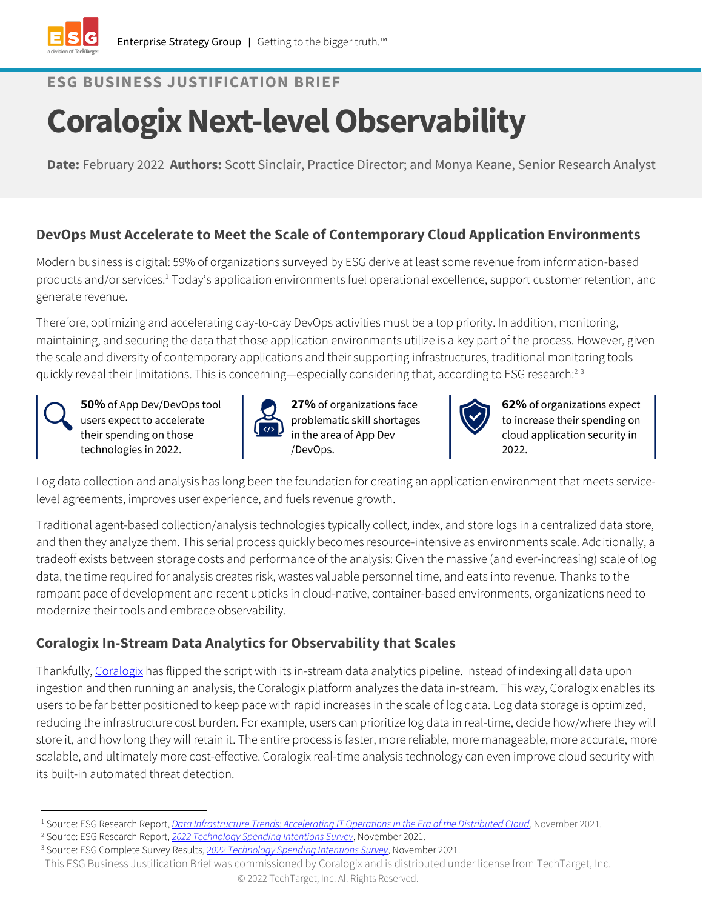

## **ESG BUSINESS JUSTIFICATION BRIEF**

# **Coralogix Next-level Observability**

**Date:** February 2022 **Authors:** Scott Sinclair, Practice Director; and Monya Keane, Senior Research Analyst

### **DevOps Must Accelerate to Meet the Scale of Contemporary Cloud Application Environments**

Modern business is digital: 59% of organizations surveyed by ESG derive at least some revenue from information-based products and/or services.<sup>1</sup> Today's application environments fuel operational excellence, support customer retention, and generate revenue.

Therefore, optimizing and accelerating day-to-day DevOps activities must be a top priority. In addition, monitoring, maintaining, and securing the data that those application environments utilize is a key part of the process. However, given the scale and diversity of contemporary applications and their supporting infrastructures, traditional monitoring tools quickly reveal their limitations. This is concerning—especially considering that, according to ESG research:<sup>23</sup>

50% of App Dev/DevOps tool users expect to accelerate their spending on those technologies in 2022.



27% of organizations face problematic skill shortages in the area of App Dev /DevOps.



62% of organizations expect to increase their spending on cloud application security in 2022.

Log data collection and analysis has long been the foundation for creating an application environment that meets servicelevel agreements, improves user experience, and fuels revenue growth.

Traditional agent-based collection/analysis technologies typically collect, index, and store logs in a centralized data store, and then they analyze them. This serial process quickly becomes resource-intensive as environments scale. Additionally, a tradeoff exists between storage costs and performance of the analysis: Given the massive (and ever-increasing) scale of log data, the time required for analysis creates risk, wastes valuable personnel time, and eats into revenue. Thanks to the rampant pace of development and recent upticks in cloud-native, container-based environments, organizations need to modernize their tools and embrace observability.

## **Coralogix In-Stream Data Analytics for Observability that Scales**

Thankfully, [Coralogix](https://coralogix.com/) has flipped the script with its in-stream data analytics pipeline. Instead of indexing all data upon ingestion and then running an analysis, the Coralogix platform analyzes the data in-stream. This way, Coralogix enables its users to be far better positioned to keep pace with rapid increases in the scale of log data. Log data storage is optimized, reducing the infrastructure cost burden. For example, users can prioritize log data in real-time, decide how/where they will store it, and how long they will retain it. The entire process is faster, more reliable, more manageable, more accurate, more scalable, and ultimately more cost-effective. Coralogix real-time analysis technology can even improve cloud security with its built-in automated threat detection.

<sup>1</sup> Source: ESG Research Report, *[Data Infrastructure Trends: Accelerating IT Operations in the Era of the Distributed Cloud](https://research.esg-global.com/reportaction/DataInfrastructureTrends2021/Toc)*, November 2021.

<sup>2</sup> Source: ESG Research Report, *[2022 Technology Spending Intentions Survey](https://research.esg-global.com/reportaction/2022TechnologySpendingIntentionsSurveyRPT/Toc)*, November 2021.

<sup>3</sup> Source: ESG Complete Survey Results, *[2022 Technology Spending Intentions Survey](https://research.esg-global.com/reportaction/2022TechnologySpendingIntentionsSurveyCSR/Toc)*, November 2021.

This ESG Business Justification Brief was commissioned by Coralogix and is distributed under license from TechTarget, Inc. © 2022 TechTarget, Inc. All Rights Reserved.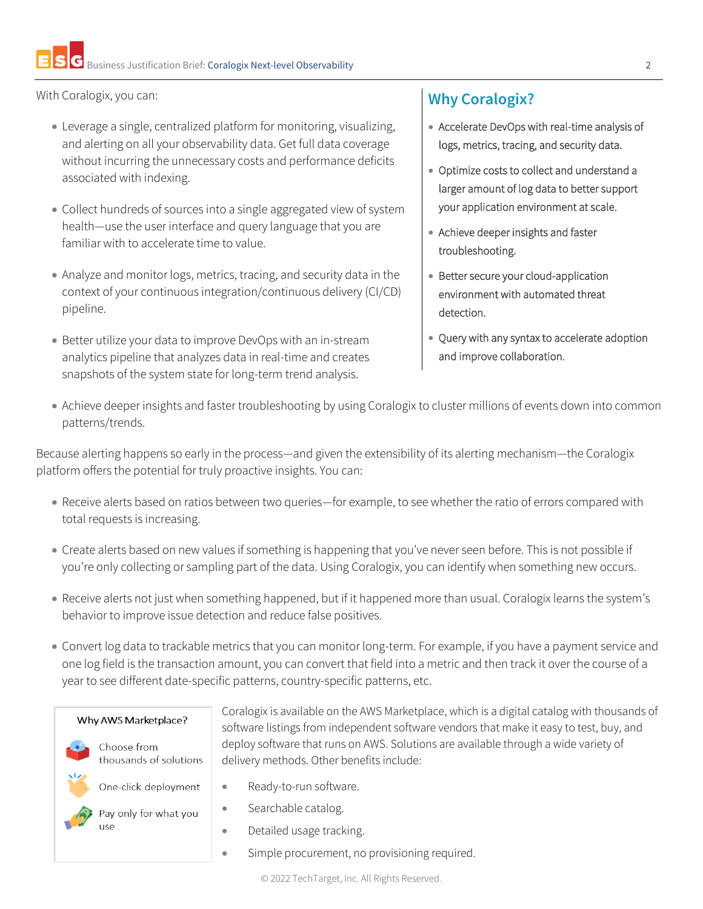With Coralogix, you can:

- Leverage a single, centralized platform for monitoring, visualizing, and alerting on all your observability data. Get full data coverage without incurring the unnecessary costs and performance deficits associated with indexing.
- Collect hundreds of sources into a single aggregated view of system health—use the user interface and query language that you are familiar with to accelerate time to value.
- Analyze and monitor logs, metrics, tracing, and security data in the context of your continuous integration/continuous delivery (CI/CD) pipeline.
- Better utilize your data to improve DevOps with an in-stream analytics pipeline that analyzes data in real-time and creates snapshots of the system state for long-term trend analysis.

## **Why Coralogix?**

- Accelerate DevOps with real-time analysis of logs, metrics, tracing, and security data.
- Optimize costs to collect and understand a larger amount of log data to better support your application environment at scale.
- Achieve deeper insights and faster troubleshooting.
- Better secure your cloud-application environment with automated threat detection.
- Query with any syntax to accelerate adoption and improve collaboration.
- Achieve deeper insights and faster troubleshooting by using Coralogix to cluster millions of events down into common patterns/trends.

Because alerting happens so early in the process—and given the extensibility of its alerting mechanism—the Coralogix platform offers the potential for truly proactive insights. You can:

- Receive alerts based on ratios between two queries—for example, to see whether the ratio of errors compared with total requests is increasing.
- Create alerts based on new values if something is happening that you've never seen before. This is not possible if you're only collecting or sampling part of the data. Using Coralogix, you can identify when something new occurs.
- Receive alerts not just when something happened, but if it happened more than usual. Coralogix learns the system's behavior to improve issue detection and reduce false positives.
- Convert log data to trackable metrics that you can monitor long-term. For example, if you have a payment service and one log field is the transaction amount, you can convert that field into a metric and then track it over the course of a year to see different date-specific patterns, country-specific patterns, etc.

Coralogix is available on the AWS Marketplace, which is a digital catalog with thousands of software listings from independent software vendors that make it easy to test, buy, and deploy software that runs on AWS. Solutions are available through a wide variety of





Choose from thousands of solutions



One-click deployment



- Searchable catalog.
	- Detailed usage tracking.

• Ready-to-run software.

Simple procurement, no provisioning required.

delivery methods. Other benefits include: